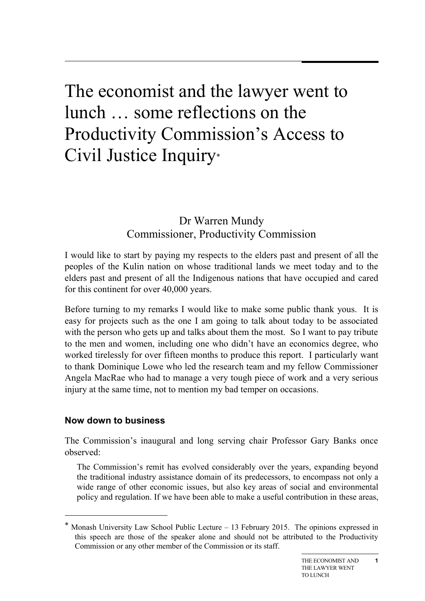# The economist and the lawyer went to lunch … some reflections on the Productivity Commission's Access to Civil Justice Inquiry\*

# Dr Warren Mundy Commissioner, Productivity Commission

I would like to start by paying my respects to the elders past and present of all the peoples of the Kulin nation on whose traditional lands we meet today and to the elders past and present of all the Indigenous nations that have occupied and cared for this continent for over 40,000 years.

Before turning to my remarks I would like to make some public thank yous. It is easy for projects such as the one I am going to talk about today to be associated with the person who gets up and talks about them the most. So I want to pay tribute to the men and women, including one who didn't have an economics degree, who worked tirelessly for over fifteen months to produce this report. I particularly want to thank Dominique Lowe who led the research team and my fellow Commissioner Angela MacRae who had to manage a very tough piece of work and a very serious injury at the same time, not to mention my bad temper on occasions.

# **Now down to business**

-

The Commission's inaugural and long serving chair Professor Gary Banks once observed:

The Commission's remit has evolved considerably over the years, expanding beyond the traditional industry assistance domain of its predecessors, to encompass not only a wide range of other economic issues, but also key areas of social and environmental policy and regulation. If we have been able to make a useful contribution in these areas,

Monash University Law School Public Lecture  $- 13$  February 2015. The opinions expressed in this speech are those of the speaker alone and should not be attributed to the Productivity Commission or any other member of the Commission or its staff.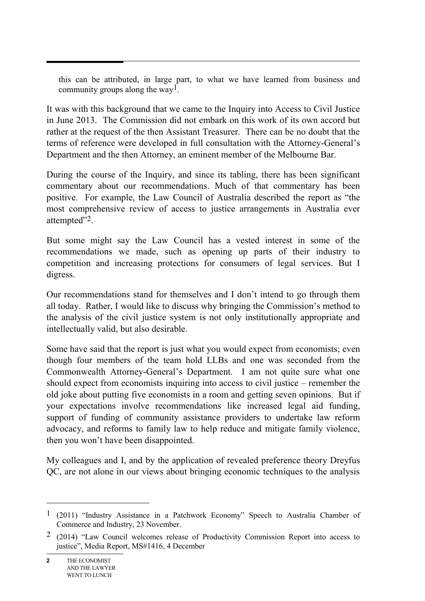this can be attributed, in large part, to what we have learned from business and community groups along the way<sup>1</sup>.

It was with this background that we came to the Inquiry into Access to Civil Justice in June 2013. The Commission did not embark on this work of its own accord but rather at the request of the then Assistant Treasurer. There can be no doubt that the terms of reference were developed in full consultation with the Attorney-General's Department and the then Attorney, an eminent member of the Melbourne Bar.

During the course of the Inquiry, and since its tabling, there has been significant commentary about our recommendations. Much of that commentary has been positive. For example, the Law Council of Australia described the report as "the most comprehensive review of access to justice arrangements in Australia ever attempted"2.

But some might say the Law Council has a vested interest in some of the recommendations we made, such as opening up parts of their industry to competition and increasing protections for consumers of legal services. But I digress.

Our recommendations stand for themselves and I don't intend to go through them all today. Rather, I would like to discuss why bringing the Commission's method to the analysis of the civil justice system is not only institutionally appropriate and intellectually valid, but also desirable.

Some have said that the report is just what you would expect from economists; even though four members of the team hold LLBs and one was seconded from the Commonwealth Attorney-General's Department. I am not quite sure what one should expect from economists inquiring into access to civil justice – remember the old joke about putting five economists in a room and getting seven opinions. But if your expectations involve recommendations like increased legal aid funding, support of funding of community assistance providers to undertake law reform advocacy, and reforms to family law to help reduce and mitigate family violence, then you won't have been disappointed.

My colleagues and I, and by the application of revealed preference theory Dreyfus QC, are not alone in our views about bringing economic techniques to the analysis

<sup>1 (2011) &</sup>quot;Industry Assistance in a Patchwork Economy" Speech to Australia Chamber of Commerce and Industry, 23 November.

<sup>2 (2014) &</sup>quot;Law Council welcomes release of Productivity Commission Report into access to justice", Media Report, MS#1416, 4 December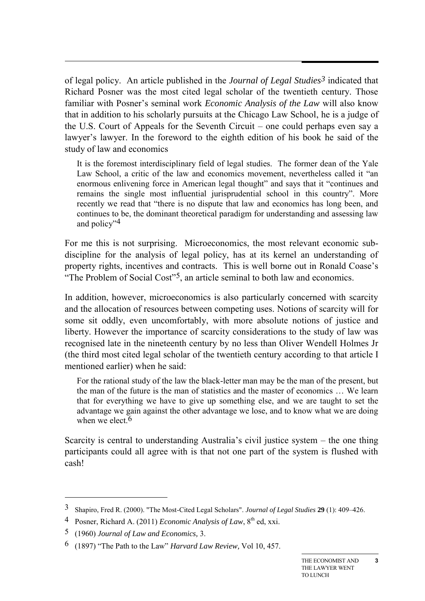of legal policy. An article published in the *Journal of Legal Studies3* indicated that Richard Posner was the most cited legal scholar of the twentieth century. Those familiar with Posner's seminal work *Economic Analysis of the Law* will also know that in addition to his scholarly pursuits at the Chicago Law School, he is a judge of the U.S. Court of Appeals for the Seventh Circuit – one could perhaps even say a lawyer's lawyer. In the foreword to the eighth edition of his book he said of the study of law and economics

It is the foremost interdisciplinary field of legal studies. The former dean of the Yale Law School, a critic of the law and economics movement, nevertheless called it "an enormous enlivening force in American legal thought" and says that it "continues and remains the single most influential jurisprudential school in this country". More recently we read that "there is no dispute that law and economics has long been, and continues to be, the dominant theoretical paradigm for understanding and assessing law and policy"4

For me this is not surprising. Microeconomics, the most relevant economic subdiscipline for the analysis of legal policy, has at its kernel an understanding of property rights, incentives and contracts. This is well borne out in Ronald Coase's "The Problem of Social Cost"5, an article seminal to both law and economics.

In addition, however, microeconomics is also particularly concerned with scarcity and the allocation of resources between competing uses. Notions of scarcity will for some sit oddly, even uncomfortably, with more absolute notions of justice and liberty. However the importance of scarcity considerations to the study of law was recognised late in the nineteenth century by no less than Oliver Wendell Holmes Jr (the third most cited legal scholar of the twentieth century according to that article I mentioned earlier) when he said:

For the rational study of the law the black-letter man may be the man of the present, but the man of the future is the man of statistics and the master of economics … We learn that for everything we have to give up something else, and we are taught to set the advantage we gain against the other advantage we lose, and to know what we are doing when we elect  $6$ 

Scarcity is central to understanding Australia's civil justice system – the one thing participants could all agree with is that not one part of the system is flushed with cash!

-

<sup>3</sup> Shapiro, Fred R. (2000). "The Most-Cited Legal Scholars". *Journal of Legal Studies* **29** (1): 409–426.

<sup>&</sup>lt;sup>4</sup> Posner, Richard A. (2011) *Economic Analysis of Law*, 8<sup>th</sup> ed, xxi.

<sup>5 (1960)</sup> *Journal of Law and Economics,* 3.

<sup>6 (1897) &</sup>quot;The Path to the Law" *Harvard Law Review,* Vol 10, 457.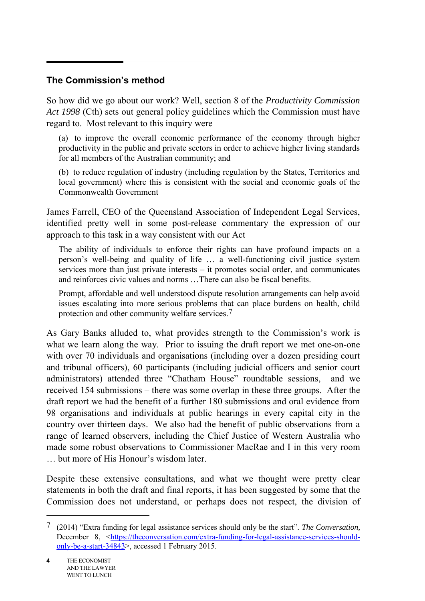#### **The Commission's method**

So how did we go about our work? Well, section 8 of the *Productivity Commission Act 1998* (Cth) sets out general policy guidelines which the Commission must have regard to. Most relevant to this inquiry were

(a) to improve the overall economic performance of the economy through higher productivity in the public and private sectors in order to achieve higher living standards for all members of the Australian community; and

(b) to reduce regulation of industry (including regulation by the States, Territories and local government) where this is consistent with the social and economic goals of the Commonwealth Government

James Farrell, CEO of the Queensland Association of Independent Legal Services, identified pretty well in some post-release commentary the expression of our approach to this task in a way consistent with our Act

The ability of individuals to enforce their rights can have profound impacts on a person's well-being and quality of life … a well-functioning civil justice system services more than just private interests – it promotes social order, and communicates and reinforces civic values and norms …There can also be fiscal benefits.

Prompt, affordable and well understood dispute resolution arrangements can help avoid issues escalating into more serious problems that can place burdens on health, child protection and other community welfare services.7

As Gary Banks alluded to, what provides strength to the Commission's work is what we learn along the way. Prior to issuing the draft report we met one-on-one with over 70 individuals and organisations (including over a dozen presiding court and tribunal officers), 60 participants (including judicial officers and senior court administrators) attended three "Chatham House" roundtable sessions, and we received 154 submissions – there was some overlap in these three groups. After the draft report we had the benefit of a further 180 submissions and oral evidence from 98 organisations and individuals at public hearings in every capital city in the country over thirteen days. We also had the benefit of public observations from a range of learned observers, including the Chief Justice of Western Australia who made some robust observations to Commissioner MacRae and I in this very room … but more of His Honour's wisdom later.

Despite these extensive consultations, and what we thought were pretty clear statements in both the draft and final reports, it has been suggested by some that the Commission does not understand, or perhaps does not respect, the division of

<sup>7 (2014) &</sup>quot;Extra funding for legal assistance services should only be the start". *The Conversation,*  December 8, [<https://theconversation.com/extra-funding-for-legal-assistance-services-should](https://theconversation.com/extra-funding-for-legal-assistance-services-should-only-be-a-start-34843)[only-be-a-start-34843>](https://theconversation.com/extra-funding-for-legal-assistance-services-should-only-be-a-start-34843), accessed 1 February 2015.

**<sup>4</sup>** THE ECONOMIST AND THE LAWYER WENT TO LUNCH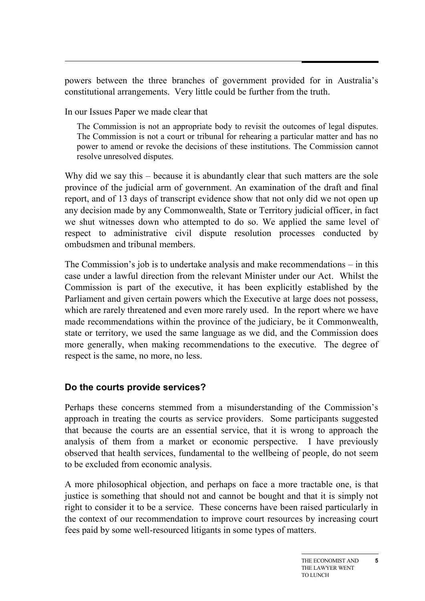powers between the three branches of government provided for in Australia's constitutional arrangements. Very little could be further from the truth.

In our Issues Paper we made clear that

The Commission is not an appropriate body to revisit the outcomes of legal disputes. The Commission is not a court or tribunal for rehearing a particular matter and has no power to amend or revoke the decisions of these institutions. The Commission cannot resolve unresolved disputes.

Why did we say this – because it is abundantly clear that such matters are the sole province of the judicial arm of government. An examination of the draft and final report, and of 13 days of transcript evidence show that not only did we not open up any decision made by any Commonwealth, State or Territory judicial officer, in fact we shut witnesses down who attempted to do so. We applied the same level of respect to administrative civil dispute resolution processes conducted by ombudsmen and tribunal members.

The Commission's job is to undertake analysis and make recommendations – in this case under a lawful direction from the relevant Minister under our Act. Whilst the Commission is part of the executive, it has been explicitly established by the Parliament and given certain powers which the Executive at large does not possess, which are rarely threatened and even more rarely used. In the report where we have made recommendations within the province of the judiciary, be it Commonwealth, state or territory, we used the same language as we did, and the Commission does more generally, when making recommendations to the executive. The degree of respect is the same, no more, no less.

# **Do the courts provide services?**

Perhaps these concerns stemmed from a misunderstanding of the Commission's approach in treating the courts as service providers. Some participants suggested that because the courts are an essential service, that it is wrong to approach the analysis of them from a market or economic perspective. I have previously observed that health services, fundamental to the wellbeing of people, do not seem to be excluded from economic analysis.

A more philosophical objection, and perhaps on face a more tractable one, is that justice is something that should not and cannot be bought and that it is simply not right to consider it to be a service. These concerns have been raised particularly in the context of our recommendation to improve court resources by increasing court fees paid by some well-resourced litigants in some types of matters.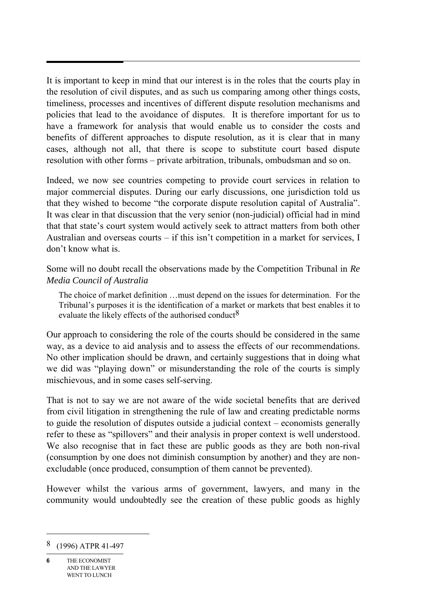It is important to keep in mind that our interest is in the roles that the courts play in the resolution of civil disputes, and as such us comparing among other things costs, timeliness, processes and incentives of different dispute resolution mechanisms and policies that lead to the avoidance of disputes. It is therefore important for us to have a framework for analysis that would enable us to consider the costs and benefits of different approaches to dispute resolution, as it is clear that in many cases, although not all, that there is scope to substitute court based dispute resolution with other forms – private arbitration, tribunals, ombudsman and so on.

Indeed, we now see countries competing to provide court services in relation to major commercial disputes. During our early discussions, one jurisdiction told us that they wished to become "the corporate dispute resolution capital of Australia". It was clear in that discussion that the very senior (non-judicial) official had in mind that that state's court system would actively seek to attract matters from both other Australian and overseas courts – if this isn't competition in a market for services, I don't know what is.

Some will no doubt recall the observations made by the Competition Tribunal in *Re Media Council of Australia*

The choice of market definition …must depend on the issues for determination. For the Tribunal's purposes it is the identification of a market or markets that best enables it to evaluate the likely effects of the authorised conduct<sup>8</sup>

Our approach to considering the role of the courts should be considered in the same way, as a device to aid analysis and to assess the effects of our recommendations. No other implication should be drawn, and certainly suggestions that in doing what we did was "playing down" or misunderstanding the role of the courts is simply mischievous, and in some cases self-serving.

That is not to say we are not aware of the wide societal benefits that are derived from civil litigation in strengthening the rule of law and creating predictable norms to guide the resolution of disputes outside a judicial context – economists generally refer to these as "spillovers" and their analysis in proper context is well understood. We also recognise that in fact these are public goods as they are both non-rival (consumption by one does not diminish consumption by another) and they are nonexcludable (once produced, consumption of them cannot be prevented).

However whilst the various arms of government, lawyers, and many in the community would undoubtedly see the creation of these public goods as highly

<sup>8 (1996)</sup> ATPR 41-497

**<sup>6</sup>** THE ECONOMIST AND THE LAWYER WENT TO LUNCH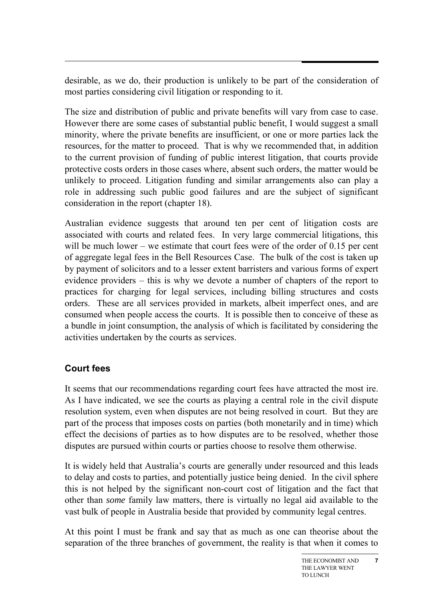desirable, as we do, their production is unlikely to be part of the consideration of most parties considering civil litigation or responding to it.

The size and distribution of public and private benefits will vary from case to case. However there are some cases of substantial public benefit, I would suggest a small minority, where the private benefits are insufficient, or one or more parties lack the resources, for the matter to proceed. That is why we recommended that, in addition to the current provision of funding of public interest litigation, that courts provide protective costs orders in those cases where, absent such orders, the matter would be unlikely to proceed. Litigation funding and similar arrangements also can play a role in addressing such public good failures and are the subject of significant consideration in the report (chapter 18).

Australian evidence suggests that around ten per cent of litigation costs are associated with courts and related fees. In very large commercial litigations, this will be much lower – we estimate that court fees were of the order of 0.15 per cent of aggregate legal fees in the Bell Resources Case. The bulk of the cost is taken up by payment of solicitors and to a lesser extent barristers and various forms of expert evidence providers – this is why we devote a number of chapters of the report to practices for charging for legal services, including billing structures and costs orders. These are all services provided in markets, albeit imperfect ones, and are consumed when people access the courts. It is possible then to conceive of these as a bundle in joint consumption, the analysis of which is facilitated by considering the activities undertaken by the courts as services.

# **Court fees**

It seems that our recommendations regarding court fees have attracted the most ire. As I have indicated, we see the courts as playing a central role in the civil dispute resolution system, even when disputes are not being resolved in court. But they are part of the process that imposes costs on parties (both monetarily and in time) which effect the decisions of parties as to how disputes are to be resolved, whether those disputes are pursued within courts or parties choose to resolve them otherwise.

It is widely held that Australia's courts are generally under resourced and this leads to delay and costs to parties, and potentially justice being denied. In the civil sphere this is not helped by the significant non-court cost of litigation and the fact that other than *some* family law matters, there is virtually no legal aid available to the vast bulk of people in Australia beside that provided by community legal centres.

At this point I must be frank and say that as much as one can theorise about the separation of the three branches of government, the reality is that when it comes to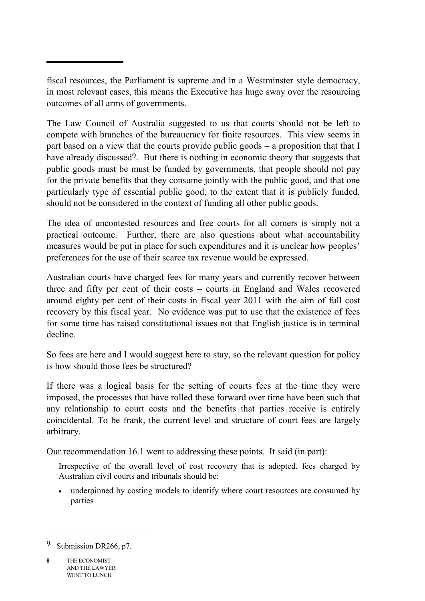fiscal resources, the Parliament is supreme and in a Westminster style democracy, in most relevant cases, this means the Executive has huge sway over the resourcing outcomes of all arms of governments.

The Law Council of Australia suggested to us that courts should not be left to compete with branches of the bureaucracy for finite resources. This view seems in part based on a view that the courts provide public goods – a proposition that that I have already discussed<sup>9</sup>. But there is nothing in economic theory that suggests that public goods must be must be funded by governments, that people should not pay for the private benefits that they consume jointly with the public good, and that one particularly type of essential public good, to the extent that it is publicly funded, should not be considered in the context of funding all other public goods.

The idea of uncontested resources and free courts for all comers is simply not a practical outcome. Further, there are also questions about what accountability measures would be put in place for such expenditures and it is unclear how peoples' preferences for the use of their scarce tax revenue would be expressed.

Australian courts have charged fees for many years and currently recover between three and fifty per cent of their costs – courts in England and Wales recovered around eighty per cent of their costs in fiscal year 2011 with the aim of full cost recovery by this fiscal year. No evidence was put to use that the existence of fees for some time has raised constitutional issues not that English justice is in terminal decline.

So fees are here and I would suggest here to stay, so the relevant question for policy is how should those fees be structured?

If there was a logical basis for the setting of courts fees at the time they were imposed, the processes that have rolled these forward over time have been such that any relationship to court costs and the benefits that parties receive is entirely coincidental. To be frank, the current level and structure of court fees are largely arbitrary.

Our recommendation 16.1 went to addressing these points. It said (in part):

Irrespective of the overall level of cost recovery that is adopted, fees charged by Australian civil courts and tribunals should be:

 underpinned by costing models to identify where court resources are consumed by parties

<sup>9</sup> Submission DR266, p7.

**<sup>8</sup>** THE ECONOMIST AND THE LAWYER WENT TO LUNCH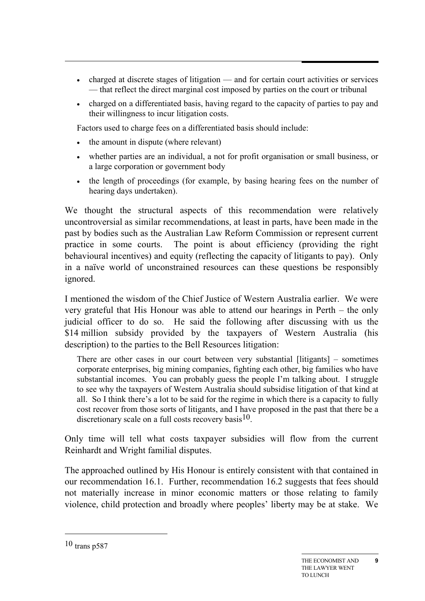- charged at discrete stages of litigation and for certain court activities or services — that reflect the direct marginal cost imposed by parties on the court or tribunal
- charged on a differentiated basis, having regard to the capacity of parties to pay and their willingness to incur litigation costs.

Factors used to charge fees on a differentiated basis should include:

- the amount in dispute (where relevant)
- whether parties are an individual, a not for profit organisation or small business, or a large corporation or government body
- the length of proceedings (for example, by basing hearing fees on the number of hearing days undertaken).

We thought the structural aspects of this recommendation were relatively uncontroversial as similar recommendations, at least in parts, have been made in the past by bodies such as the Australian Law Reform Commission or represent current practice in some courts. The point is about efficiency (providing the right behavioural incentives) and equity (reflecting the capacity of litigants to pay). Only in a naïve world of unconstrained resources can these questions be responsibly ignored.

I mentioned the wisdom of the Chief Justice of Western Australia earlier. We were very grateful that His Honour was able to attend our hearings in Perth – the only judicial officer to do so. He said the following after discussing with us the \$14 million subsidy provided by the taxpayers of Western Australia (his description) to the parties to the Bell Resources litigation:

There are other cases in our court between very substantial [litigants] – sometimes corporate enterprises, big mining companies, fighting each other, big families who have substantial incomes. You can probably guess the people I'm talking about. I struggle to see why the taxpayers of Western Australia should subsidise litigation of that kind at all. So I think there's a lot to be said for the regime in which there is a capacity to fully cost recover from those sorts of litigants, and I have proposed in the past that there be a discretionary scale on a full costs recovery basis  $10$ .

Only time will tell what costs taxpayer subsidies will flow from the current Reinhardt and Wright familial disputes.

The approached outlined by His Honour is entirely consistent with that contained in our recommendation 16.1. Further, recommendation 16.2 suggests that fees should not materially increase in minor economic matters or those relating to family violence, child protection and broadly where peoples' liberty may be at stake. We

-

<sup>10</sup> trans p587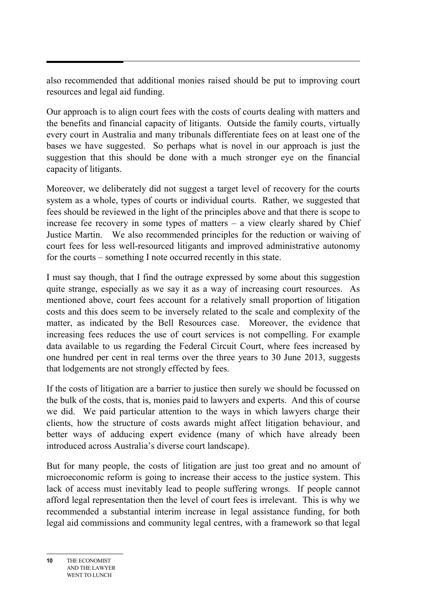also recommended that additional monies raised should be put to improving court resources and legal aid funding.

Our approach is to align court fees with the costs of courts dealing with matters and the benefits and financial capacity of litigants. Outside the family courts, virtually every court in Australia and many tribunals differentiate fees on at least one of the bases we have suggested. So perhaps what is novel in our approach is just the suggestion that this should be done with a much stronger eye on the financial capacity of litigants.

Moreover, we deliberately did not suggest a target level of recovery for the courts system as a whole, types of courts or individual courts. Rather, we suggested that fees should be reviewed in the light of the principles above and that there is scope to increase fee recovery in some types of matters – a view clearly shared by Chief Justice Martin. We also recommended principles for the reduction or waiving of court fees for less well-resourced litigants and improved administrative autonomy for the courts – something I note occurred recently in this state.

I must say though, that I find the outrage expressed by some about this suggestion quite strange, especially as we say it as a way of increasing court resources. As mentioned above, court fees account for a relatively small proportion of litigation costs and this does seem to be inversely related to the scale and complexity of the matter, as indicated by the Bell Resources case. Moreover, the evidence that increasing fees reduces the use of court services is not compelling. For example data available to us regarding the Federal Circuit Court, where fees increased by one hundred per cent in real terms over the three years to 30 June 2013, suggests that lodgements are not strongly effected by fees.

If the costs of litigation are a barrier to justice then surely we should be focussed on the bulk of the costs, that is, monies paid to lawyers and experts. And this of course we did. We paid particular attention to the ways in which lawyers charge their clients, how the structure of costs awards might affect litigation behaviour, and better ways of adducing expert evidence (many of which have already been introduced across Australia's diverse court landscape).

But for many people, the costs of litigation are just too great and no amount of microeconomic reform is going to increase their access to the justice system. This lack of access must inevitably lead to people suffering wrongs. If people cannot afford legal representation then the level of court fees is irrelevant. This is why we recommended a substantial interim increase in legal assistance funding, for both legal aid commissions and community legal centres, with a framework so that legal